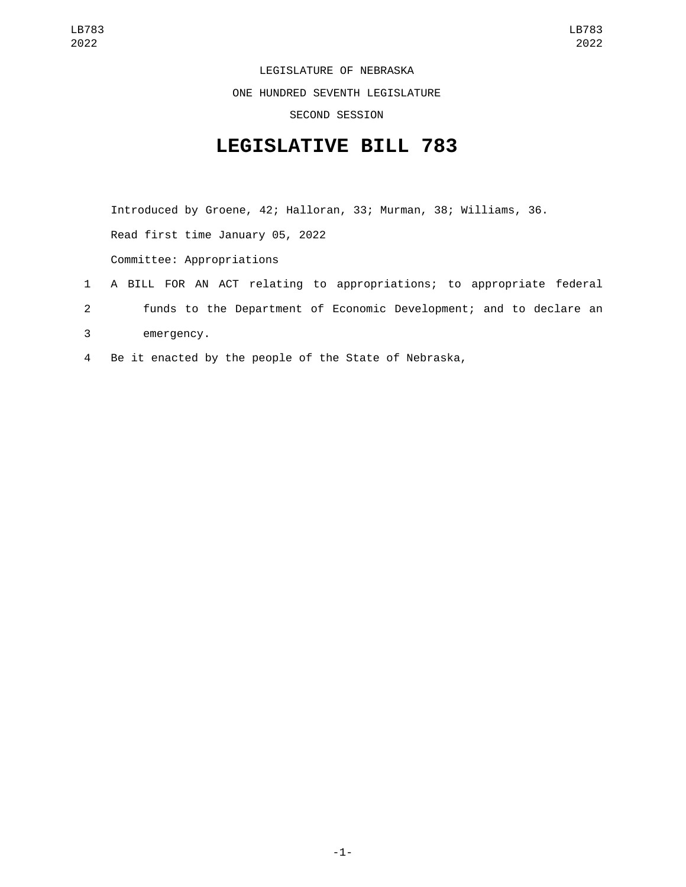LEGISLATURE OF NEBRASKA ONE HUNDRED SEVENTH LEGISLATURE SECOND SESSION

## **LEGISLATIVE BILL 783**

Introduced by Groene, 42; Halloran, 33; Murman, 38; Williams, 36. Read first time January 05, 2022 Committee: Appropriations

- 1 A BILL FOR AN ACT relating to appropriations; to appropriate federal 2 funds to the Department of Economic Development; and to declare an 3 emergency.
- 4 Be it enacted by the people of the State of Nebraska,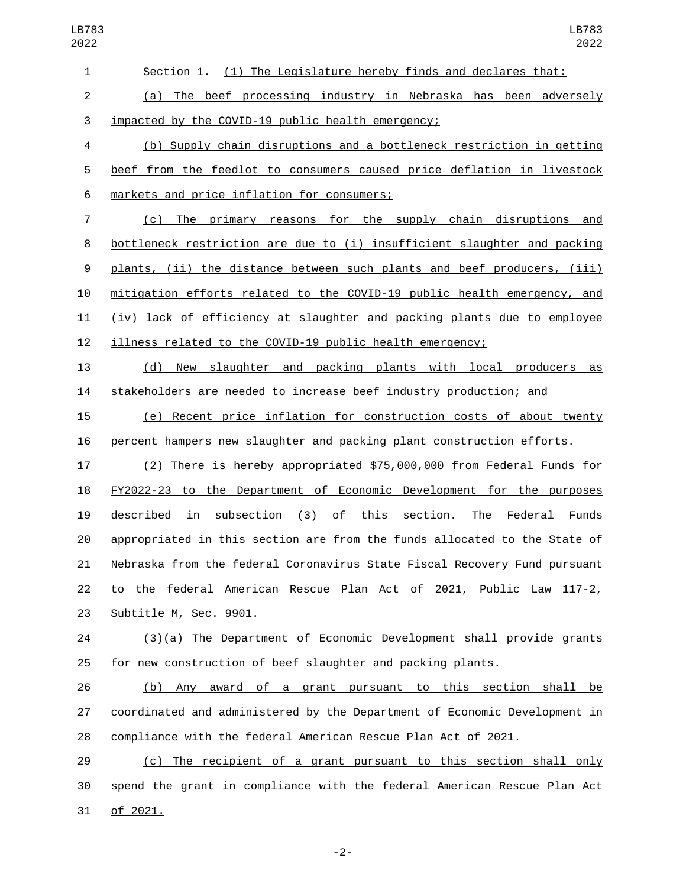| LB783<br>2022  | LB783<br>2022                                                             |
|----------------|---------------------------------------------------------------------------|
| $\mathbf{1}$   | Section 1. (1) The Legislature hereby finds and declares that:            |
| $\overline{c}$ | (a) The beef processing industry in Nebraska has been adversely           |
| 3              | impacted by the COVID-19 public health emergency;                         |
| 4              | (b) Supply chain disruptions and a bottleneck restriction in getting      |
| 5              | beef from the feedlot to consumers caused price deflation in livestock    |
| 6              | markets and price inflation for consumers;                                |
| $\overline{7}$ | (c)<br>The primary reasons for the supply chain disruptions<br>and        |
| 8              | bottleneck restriction are due to (i) insufficient slaughter and packing  |
| 9              | plants, (ii) the distance between such plants and beef producers, (iii)   |
| 10             | mitigation efforts related to the COVID-19 public health emergency, and   |
| 11             | (iv) lack of efficiency at slaughter and packing plants due to employee   |
| 12             | illness related to the COVID-19 public health emergency;                  |
| 13             | New slaughter and packing plants with local producers<br>(d)<br>as        |
| 14             | stakeholders are needed to increase beef industry production; and         |
| 15             | Recent price inflation for construction costs of about twenty<br>(e)      |
| 16             | percent hampers new slaughter and packing plant construction efforts.     |
| 17             | (2) There is hereby appropriated \$75,000,000 from Federal Funds for      |
| 18             | FY2022-23 to the Department of Economic Development for the purposes      |
| 19             | in subsection (3) of this section. The Federal Funds<br>described         |
| 20             | appropriated in this section are from the funds allocated to the State of |
| 21             | Nebraska from the federal Coronavirus State Fiscal Recovery Fund pursuant |
| 22             | to the federal American Rescue Plan Act of 2021, Public Law 117-2,        |
| 23             | Subtitle M, Sec. 9901.                                                    |
| 24             | (3)(a) The Department of Economic Development shall provide grants        |
| 25             | for new construction of beef slaughter and packing plants.                |
| 26             | (b) Any award of a grant pursuant to this section shall be                |
| 27             | coordinated and administered by the Department of Economic Development in |
| 28             | compliance with the federal American Rescue Plan Act of 2021.             |
| 29             | (c) The recipient of a grant pursuant to this section shall only          |
| 30             | spend the grant in compliance with the federal American Rescue Plan Act   |
| 31             | of 2021.                                                                  |

-2-